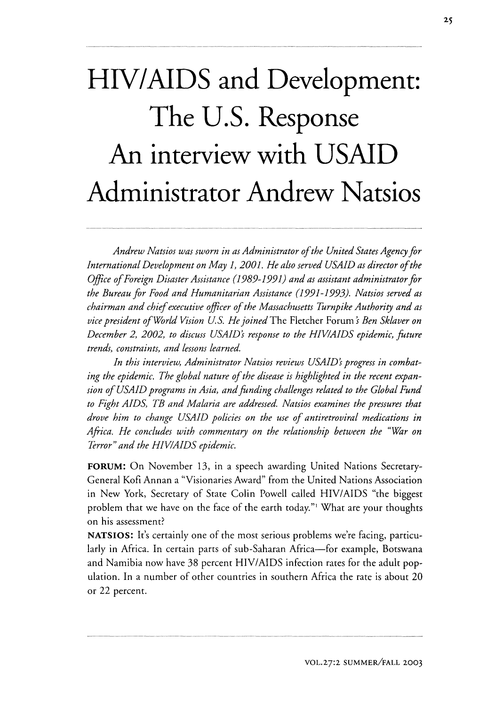## **HIV/AIDS and Development: The U.S. Response An interview with USAID Administrator Andrew Natsios**

*Andrew Natsios was sworn in as Administrator of the United States Agency for International Development on May 1, 2001. He also served USAID as director of the Office of Foreign Disaster Assistance (1989-1991) and as assistant administrator for the Bureau for Food and Humanitarian Assistance (1991-1993). Natsios served as chairman and chief executive officer of the Massachusetts Turnpike Authority and as vice president of World Vision U.S. He joined* The Fletcher Forum's Ben Sklaver on *December 2, 2002, to discuss USAIDs response to the HIV/AIDS epidemic, future trends, constraints, and lessons learned.*

*In this interview, Administrator Natsios reviews USAID's progress in combating the epidemic. The global nature of the disease is highlighted in the recent expansion of USAID programs in Asia, and funding challenges related to the Global Fund to Fight AIDS, TB and Malaria are addressed. Natsios examines the pressures that drove him to change USAID policies on the use of antiretroviral medications in Africa. He concludes with commentary on the relationship between the "War on Terror" and the HIV/AIDS epidemic.*

FORUM: On November 13, in a speech awarding United Nations Secretary-General Kofi Annan a "Visionaries Award" from the United Nations Association in New York, Secretary of State Colin Powell called HIV/AIDS "the biggest problem that we have on the face of the earth today."' What are your thoughts on his assessment?

**NATSIOS:** It's certainly one of the most serious problems we're facing, particularly in Africa. In certain parts of sub-Saharan Africa—for example, Botswana and Namibia now have 38 percent HIV/AIDS infection rates for the adult population. In a number of other countries in southern Africa the rate is about 20 or 22 percent.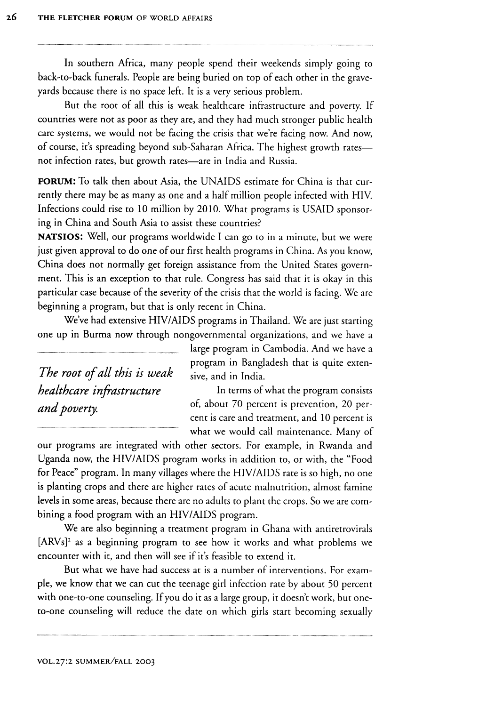In southern Africa, many people spend their weekends simply going to back-to-back funerals. People are being buried on top of each other in the graveyards because there is no space left. It is a very serious problem.

But the root of all this is weak healthcare infrastructure and poverty. If countries were not as poor as they are, and they had much stronger public health care systems, we would not be facing the crisis that we're facing now. And now, of course, it's spreading beyond sub-Saharan Africa. The highest growth ratesnot infection rates, but growth rates-are in India and Russia.

**FORUM:** To talk then about Asia, the UNAIDS estimate for China is that currently there may be as many as one and a half million people infected with HIV. Infections could rise to 10 million by 2010. What programs is USAID sponsoring in China and South Asia to assist these countries?

NATSIOS: Well, our programs worldwide I can go to in a minute, but we were just given approval to do one of our first health programs in China. As you know, China does not normally get foreign assistance from the United States government. This is an exception to that rule. Congress has said that it is okay in this particular case because of the severity of the crisis that the world is facing. We are beginning a program, but that is only recent in China.

We've had extensive HIV/AIDS programs in Thailand. We are just starting one up in Burma now through nongovernmental organizations, and we have a

*The root of all this is weak* sive, and in India.

large program in Cambodia. And we have a program in Bangladesh that is quite exten-

*healthcare infrastructure* In terms of what the program consists *and poverty.* **of, about 70 percent is prevention**, 20 percent is care and treatment, and 10 percent is what we would call maintenance. Many of

our programs are integrated with other sectors. For example, in Rwanda and Uganda now, the HIV/AIDS program works in addition to, or with, the "Food for Peace" program. In many villages where the HIV/AIDS rate is so high, no one is planting crops and there are higher rates of acute malnutrition, almost famine levels in some areas, because there are no adults to plant the crops. So we are combining a food program with an HIV/AIDS program.

We are also beginning a treatment program in Ghana with antiretrovirals [ARVs]<sup>2</sup> as a beginning program to see how it works and what problems we encounter with it, and then will see if it's feasible to extend it.

But what we have had success at is a number of interventions. For example, we know that we can cut the teenage girl infection rate by about 50 percent with one-to-one counseling. If you do it as a large group, it doesn't work, but oneto-one counseling will reduce the date on which girls start becoming sexually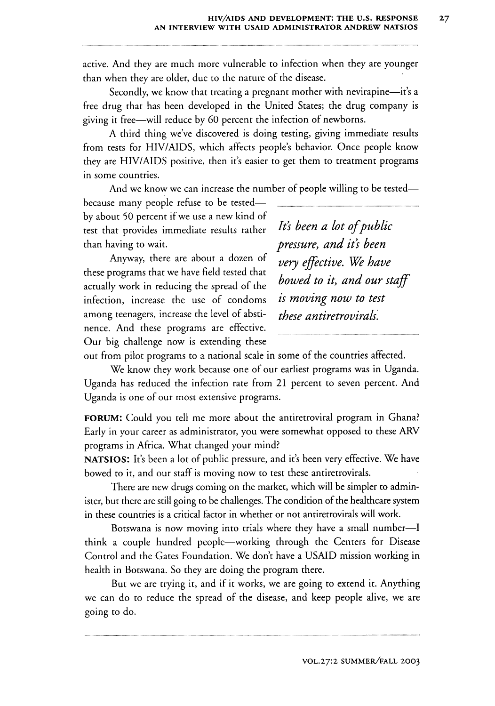active. And they are much more vulnerable to infection when they are younger than when they are older, due to the nature of the disease.

Secondly, we know that treating a pregnant mother with nevirapine—it's a free drug that has been developed in the United States; the drug company is giving it free-will reduce by 60 percent the infection of newborns.

A third thing we've discovered is doing testing, giving immediate results from tests for HIV/AIDS, which affects people's behavior. Once people know they are HIV/AIDS positive, then it's easier to get them to treatment programs in some countries.

And we know we can increase the number of people willing to be tested-

because many people refuse to be testedby about 50 percent if we use a new kind of test that provides immediate results rather *It's been a lot ofpublic* than having to wait. *pressure, and it's been*

Anyway, there are about a dozen of *very effective. We have* these programs that we have field tested that actually work in reducing the spread of the infection, increase the use of condoms *is moving now to test* among teenagers, increase the level of absti- *these antiretrovirals'* nence. And these programs are effective. Our big challenge now is extending these

bowed to it, and our staff

out from pilot programs to a national scale in some of the countries affected.

We know they work because one of our earliest programs was in Uganda. Uganda has reduced the infection rate from 21 percent to seven percent. And Uganda is one of our most extensive programs.

**FORUM:** Could you tell me more about the antiretroviral program in Ghana? Early in your career as administrator, you were somewhat opposed to these ARV programs in Africa. What changed your mind?

**NATSIOS:** It's been a lot of public pressure, and it's been very effective. We have bowed to it, and our staff is moving now to test these antiretrovirals.

There are new drugs coming on the market, which will be simpler to administer, but there are still going to be challenges. The condition of the healthcare system in these countries is a critical factor in whether or not antiretrovirals will work.

Botswana is now moving into trials where they have a small number-I think a couple hundred people-working through the Centers for Disease Control and the Gates Foundation. We don't have a USAID mission working in health in Botswana. So they are doing the program there.

But we are trying it, and if it works, we are going to extend it. Anything we can do to reduce the spread of the disease, and keep people alive, we are going to do.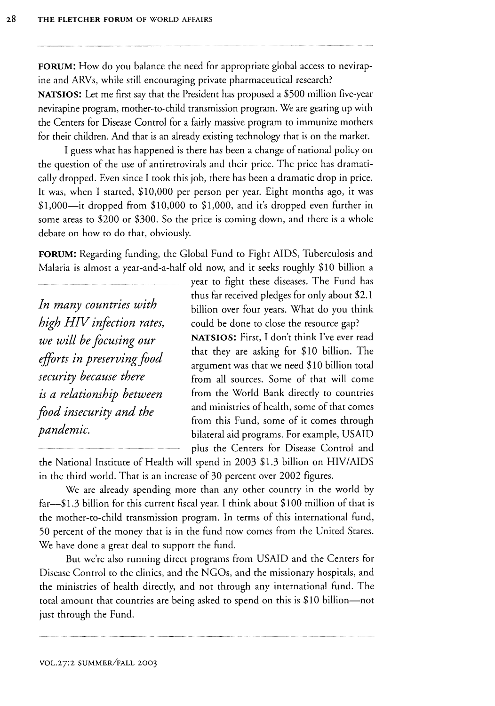**FORUM:** How do you balance the need for appropriate global access to nevirap**ine** and ARVs, while still encouraging private pharmaceutical research? **NATSIOS:** Let me first say that the President has proposed a \$500 million five-year nevirapine program, mother-to-child transmission program. We are gearing up with the Centers for Disease Control for a fairly massive program to immunize mothers for their children. And that is an already existing technology that is on the market.

**I** guess what has happened is there has been a change of national policy on the question of the use of antiretrovirals and their price. The price has dramatically dropped. Even since **I** took this job, there has been a dramatic drop in price. It was, when I started, \$10,000 per person per year. Eight months ago, it was  $$1,000$ -it dropped from  $$10,000$  to  $$1,000$ , and it's dropped even further in some areas to \$200 or **\$300.** So the price is coming down, and there is a whole debate on how to do that, obviously.

**FORUM:** Regarding funding, the Global Fund to Fight **AIDS,** Tuberculosis and Malaria is almost a year-and-a-half old now, and it seeks roughly **\$10** billion a

*In many countries with high HIV infection rates, we will be focusing our efforts in preserving food security because there is a relationship between food insecurity and the pandemic.*

year to fight these diseases. The Fund has thus far received pledges for only about \$2.1 billion over four years. What do you think could be done to close the resource gap?

**NATSIOS:** First, I don't think I've ever read that they are asking for \$10 billion. The argument was that we need \$10 billion total from all sources. Some of that will come from the World Bank directly to countries and ministries of health, some of that comes from this Fund, some of it comes through bilateral aid programs. For example, USAID plus the Centers for Disease Control and

the National Institute of Health will spend in 2003 \$1.3 billion on HIV/AIDS in the third world. That is an increase of 30 percent over 2002 figures.

We are already spending more than any other country in the world by far-\$1.3 billion for this current fiscal year. I think about \$100 million of that is the mother-to-child transmission program. In terms of this international fund, 50 percent of the money that is in the fund now comes from the United States. We have done a great deal to support the fund.

But we're also running direct programs from USAID and the Centers for Disease Control to the clinics, and the NGOs, and the missionary hospitals, and the ministries of health directly, and not through any international fund. The total amount that countries are being asked to spend on this is \$10 billion-not just through the Fund.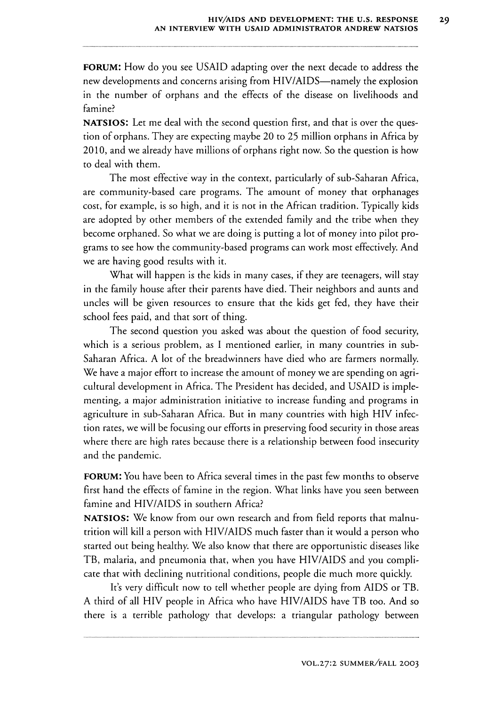FORUM: How do you see USAID adapting over the next decade to address the new developments and concerns arising from HIV/AIDS—namely the explosion in the number of orphans and the effects of the disease on livelihoods and famine?

**NATSIOS:** Let me deal with the second question first, and that is over the question of orphans. They are expecting maybe 20 to 25 million orphans in Africa by 2010, and we already have millions of orphans right now. So the question is how to deal with them.

The most effective way in the context, particularly of sub-Saharan Africa, are community-based care programs. The amount of money that orphanages cost, for example, is so high, and it is not in the African tradition. Typically kids are adopted by other members of the extended family and the tribe when they become orphaned. So what we are doing is putting a lot of money into pilot programs to see how the community-based programs can work most effectively. And we are having good results with it.

What will happen is the kids in many cases, if they are teenagers, will stay in the family house after their parents have died. Their neighbors and aunts and uncles will be given resources to ensure that the kids get fed, they have their school fees paid, and that sort of thing.

The second question you asked was about the question of food security, which is a serious problem, as I mentioned earlier, in many countries in sub-Saharan Africa. A lot of the breadwinners have died who are farmers normally. We have a major effort to increase the amount of money we are spending on agricultural development in Africa. The President has decided, and USAID is implementing, a major administration initiative to increase funding and programs in agriculture in sub-Saharan Africa. But in many countries with high HIV infection rates, we will be focusing our efforts in preserving food security in those areas where there are high rates because there is a relationship between food insecurity and the pandemic.

**FORUM:** You have been to Africa several times in the past few months to observe first hand the effects of famine in the region. What links have you seen between famine and HIV/AIDS in southern Africa?

**NATSIOS:** We know from our own research and from field reports that malnutrition will kill a person with HIV/AIDS much faster than it would a person who started out being healthy. We also know that there are opportunistic diseases like TB, malaria, and pneumonia that, when you have HIV/AIDS and you complicate that with declining nutritional conditions, people die much more quickly.

It's very difficult now to tell whether people are dying from AIDS or TB. A third of all HIV people in Africa who have HIV/AIDS have TB too. And so there is a terrible pathology that develops: a triangular pathology between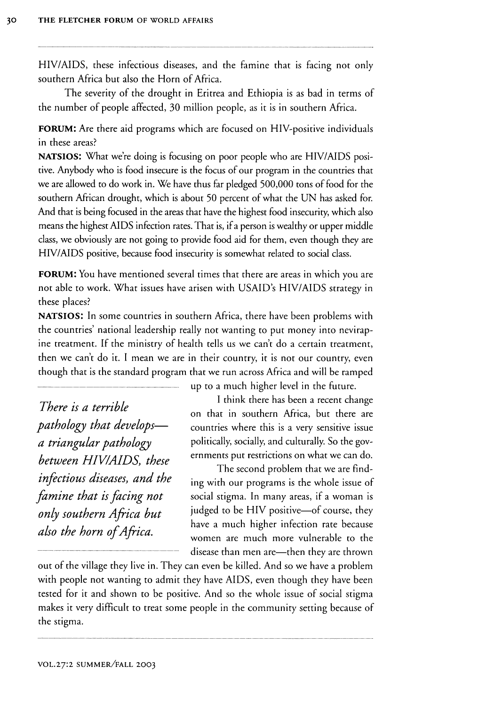HIV/AIDS, these infectious diseases, and the famine that is facing not only southern Africa but also the Horn of Africa.

The severity of the drought in Eritrea and Ethiopia is as bad in terms of the number of people affected, 30 million people, as it is in southern Africa.

**FORUM:** Are there aid programs which are focused on HIV-positive individuals in these areas?

**NATSIOS:** What we're doing is focusing on poor people who are HIV/AIDS positive. Anybody who is food insecure is the focus of our program in the countries that we are allowed to do work in. We have thus far pledged 500,000 tons of food for the southern African drought, which is about 50 percent of what the UN has asked for. And that is being focused in the areas that have the highest food insecurity, which also means the highest AIDS infection rates. That is, if a person is wealthy or upper middle class, we obviously are not going to provide food aid for them, even though they are **HIV/AIDS** positive, because food insecurity is somewhat related to social class.

**FORUM:** You have mentioned several times that there are areas in which you are not able to work. What issues have arisen with USAID's HIV/AIDS strategy in these places?

**NATSIOS:** In some countries in southern Africa, there have been problems with the countries' national leadership really not wanting to put money into nevirapme treatment. If the ministry of health tells us we can't do a certain treatment, then we can't do it. **I** mean we are in their country, it is not our country, even though that is the standard program that we run across Africa and will be ramped

*There is a terrible pathology that developsa triangular pathology between HIVIAIDS, these infectious diseases, and the famine that is facing not only southern Africa but also the horn ofAfrica.*

up to a much higher level in the future.

I think there has been a recent change on that in southern Africa, but there are countries where this is a very sensitive issue politically, socially, and culturally. So the governments put restrictions on what we can do.

The second problem that we are finding with our programs is the whole issue of social stigma. In many areas, if a woman is judged to be HIV positive-of course, they have a much higher infection rate because women are much more vulnerable to the disease than men are—then they are thrown

out of the village they live in. They can even be killed. And so we have a problem with people not wanting to admit they have AIDS, even though they have been tested for it and shown to be positive. And so the whole issue of social stigma makes it very difficult to treat some people in the community setting because of the stigma.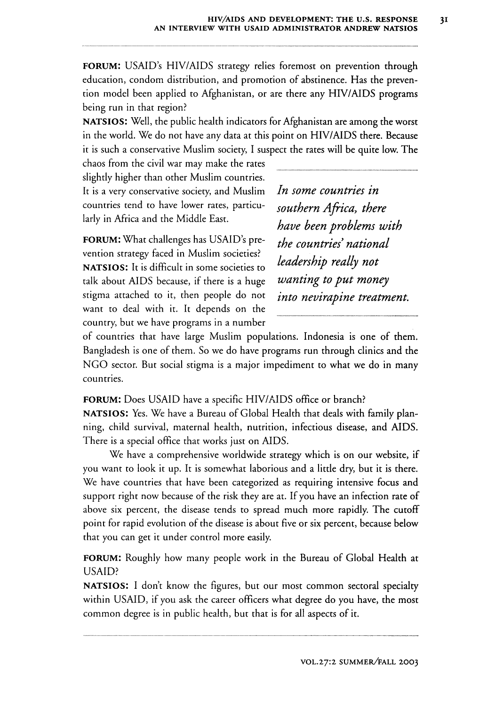**FORUM:** USAID's HIV/AIDS strategy relies foremost on prevention through education, condom distribution, and promotion of abstinence. Has the prevention model been applied to Afghanistan, or are there any HIV/AIDS programs being run in that region?

**NATSIOS:** Well, the public health indicators for Afghanistan are among the worst in the world. We do not have any data at this point on HIV/AIDS there. Because it is such a conservative Muslim society, I suspect the rates will be quite low. The

chaos from the civil war may make the rates slightly higher than other Muslim countries. It is a very conservative society, and Muslim countries tend to have lower rates, particularly in Africa and the Middle East.

FORUM: What challenges has USAID's prevention strategy faced in Muslim societies? **NATSIOS:** It is difficult in some societies to talk about AIDS because, if there is a huge stigma attached to it, then people do not want to deal with it. It depends on the country, but we have programs in a number *In some countries in southern Africa, there have been problems with the countries' national leadership really not wanting to put money into nevirapine treatment.*

of countries that have large Muslim populations. Indonesia is one of them. Bangladesh is one of them. So we do have programs run through clinics and the NGO sector. But social stigma is a major impediment to what we do in many countries.

## **FORUM:** Does USAID have a specific HIV/AIDS office or branch?

**NATSIOS:** Yes. We have a Bureau of Global Health that deals with family planning, child survival, maternal health, nutrition, infectious disease, and AIDS. There is a special office that works just on AIDS.

We have a comprehensive worldwide strategy which is on our website, if you want to look it up. It is somewhat laborious and a little dry, but it is there. We have countries that have been categorized as requiring intensive focus and support right now because of the risk they are at. If you have an infection rate of above six percent, the disease tends to spread much more rapidly. The cutoff point for rapid evolution of the disease is about five or six percent, because below that you can get it under control more easily.

**FORUM:** Roughly how many people work in the Bureau of Global Health at USAID?

**NATSIOS:** I don't know the figures, but our most common sectoral specialty within USAID, if you ask the career officers what degree do you have, the most common degree is in public health, but that is for all aspects of it.

 $3I$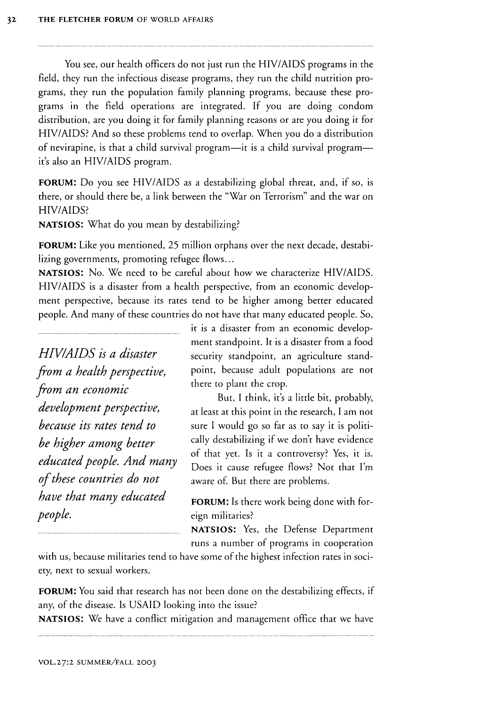You see, our health officers do not just run the HIV/AIDS programs in the field, they run the infectious disease programs, they run the child nutrition programs, they run the population family planning programs, because these programs in the field operations are integrated. If you are doing condom distribution, are you doing it for family planning reasons or are you doing it for HIV/AIDS? And so these problems tend to overlap. When you do a distribution of nevirapine, is that a child survival program—it is a child survival program it's also an HIV/AIDS program.

**FORUM:** Do you see HIV/AIDS as a destabilizing global threat, and, if so, is there, or should there be, a link between the "War on Terrorism" and the war on HIV/AIDS?

**NATSIOS:** What do you mean by destabilizing?

**FORUM:** Like you mentioned, 25 million orphans over the next decade, destabilizing governments, promoting refugee flows...

**NATSIOS:** No. We need to be careful about how we characterize HIV/AIDS. HIV/AIDS is a disaster from a health perspective, from an economic development perspective, because its rates tend to be higher among better educated people. And many of these countries do not have that many educated people. So,

*HIV/AIDS is a disaster from a health perspective, from an economic development perspective, because its rates tend to be higher among better educated people. And many of these countries do not have that many educated people.*

it is a disaster from an economic development standpoint. It is a disaster from a food security standpoint, an agriculture standpoint, because adult populations are not there to plant the crop.

But, I think, it's a little bit, probably, at least at this point in the research, I am not sure I would go so far as to say it is politically destabilizing if we don't have evidence of that yet. Is it a controversy? Yes, it is. Does it cause refugee flows? Not that I'm aware of. But there are problems.

**FORUM:** Is there work being done with foreign militaries?

**NATSIOS:** Yes, the Defense Department runs a number of programs in cooperation

with us, because militaries tend to have some of the highest infection rates in society, next to sexual workers.

FORUM: You said that research has not been done on the destabilizing effects, if any, of the disease. Is USAID looking into the issue?

**NATSIOS:** We have a conflict mitigation and management office that we have